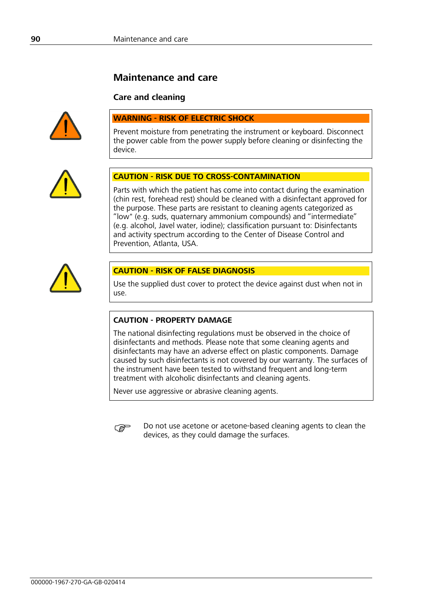# **Maintenance and care**

**Care and cleaning** 



# **WARNING - RISK OF ELECTRIC SHOCK**

Prevent moisture from penetrating the instrument or keyboard. Disconnect the power cable from the power supply before cleaning or disinfecting the device.



# **CAUTION - RISK DUE TO CROSS-CONTAMINATION**

Parts with which the patient has come into contact during the examination (chin rest, forehead rest) should be cleaned with a disinfectant approved for the purpose. These parts are resistant to cleaning agents categorized as "low" (e.g. suds, quaternary ammonium compounds) and "intermediate" (e.g. alcohol, Javel water, iodine); classification pursuant to: Disinfectants and activity spectrum according to the Center of Disease Control and Prevention, Atlanta, USA.



#### **CAUTION - RISK OF FALSE DIAGNOSIS**

Use the supplied dust cover to protect the device against dust when not in use.

## **CAUTION - PROPERTY DAMAGE**

The national disinfecting regulations must be observed in the choice of disinfectants and methods. Please note that some cleaning agents and disinfectants may have an adverse effect on plastic components. Damage caused by such disinfectants is not covered by our warranty. The surfaces of the instrument have been tested to withstand frequent and long-term treatment with alcoholic disinfectants and cleaning agents.

Never use aggressive or abrasive cleaning agents.



Do not use acetone or acetone-based cleaning agents to clean the devices, as they could damage the surfaces.